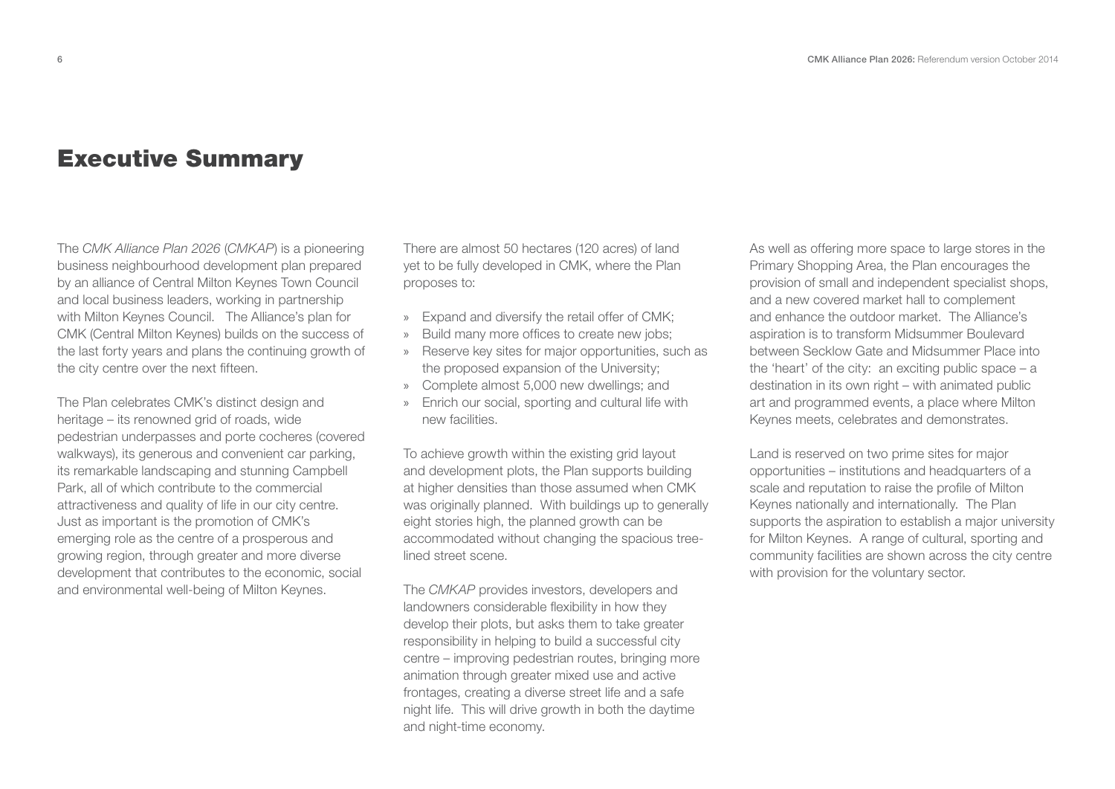## **Executive Summary**

The CMK Alliance Plan 2026 (CMKAP) is a pioneering business neighbourhood development plan prepared by an alliance of Central Milton Keynes Town Council and local business leaders, working in partnership with Milton Keynes Council. The Alliance's plan for CMK (Central Milton Keynes) builds on the success of the last forty years and plans the continuing growth of the city centre over the next fifteen.

The Plan celebrates CMK's distinct design and heritage – its renowned grid of roads, wide pedestrian underpasses and porte cocheres (covered walkways), its generous and convenient car parking, its remarkable landscaping and stunning Campbell Park, all of which contribute to the commercial attractiveness and quality of life in our city centre. Just as important is the promotion of CMK's emerging role as the centre of a prosperous and growing region, through greater and more diverse development that contributes to the economic, social and environmental well-being of Milton Keynes.

There are almost 50 hectares (120 acres) of land yet to be fully developed in CMK, where the Plan proposes to:

- » Expand and diversify the retail offer of CMK;
- »Build many more offices to create new jobs;
- » Reserve key sites for major opportunities, such as the proposed expansion of the University;
- » Complete almost 5,000 new dwellings; and
- » Enrich our social, sporting and cultural life with new facilities.

To achieve growth within the existing grid layout and development plots, the Plan supports building at higher densities than those assumed when CMK was originally planned. With buildings up to generally eight stories high, the planned growth can be accommodated without changing the spacious treelined street scene.

The CMKAP provides investors, developers and landowners considerable flexibility in how they develop their plots, but asks them to take greater responsibility in helping to build a successful city centre – improving pedestrian routes, bringing more animation through greater mixed use and active frontages, creating a diverse street life and a safe night life. This will drive growth in both the daytime and night-time economy.

As well as offering more space to large stores in the Primary Shopping Area, the Plan encourages the provision of small and independent specialist shops, and a new covered market hall to complement and enhance the outdoor market. The Alliance's aspiration is to transform Midsummer Boulevard between Secklow Gate and Midsummer Place into the 'heart' of the city: an exciting public space – a destination in its own right – with animated public art and programmed events, a place where Milton Keynes meets, celebrates and demonstrates.

Land is reserved on two prime sites for major opportunities – institutions and headquarters of a scale and reputation to raise the profile of Milton Keynes nationally and internationally. The Plan supports the aspiration to establish a major university for Milton Keynes. A range of cultural, sporting and community facilities are shown across the city centre with provision for the voluntary sector.